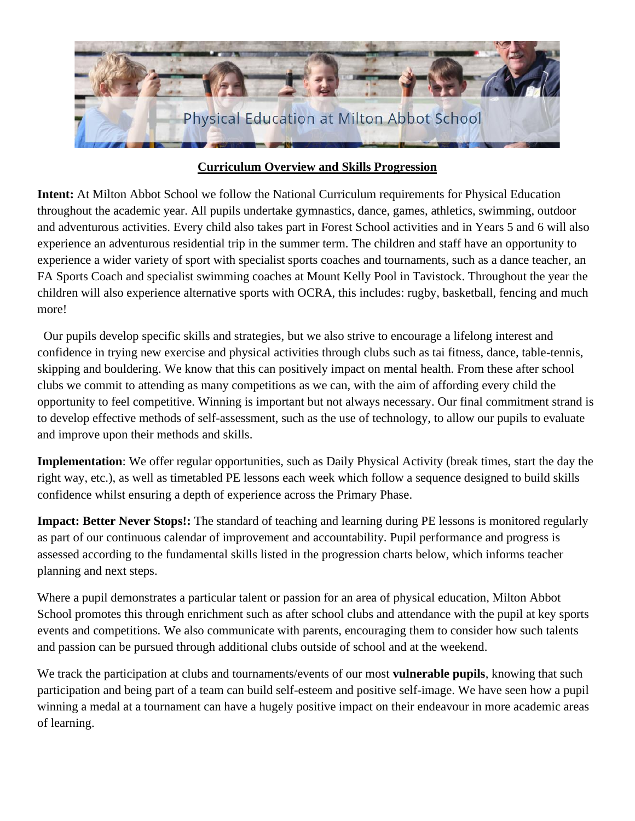

# **Curriculum Overview and Skills Progression**

**Intent:** At Milton Abbot School we follow the National Curriculum requirements for Physical Education throughout the academic year. All pupils undertake gymnastics, dance, games, athletics, swimming, outdoor and adventurous activities. Every child also takes part in Forest School activities and in Years 5 and 6 will also experience an adventurous residential trip in the summer term. The children and staff have an opportunity to experience a wider variety of sport with specialist sports coaches and tournaments, such as a dance teacher, an FA Sports Coach and specialist swimming coaches at Mount Kelly Pool in Tavistock. Throughout the year the children will also experience alternative sports with OCRA, this includes: rugby, basketball, fencing and much more!

 Our pupils develop specific skills and strategies, but we also strive to encourage a lifelong interest and confidence in trying new exercise and physical activities through clubs such as tai fitness, dance, table-tennis, skipping and bouldering. We know that this can positively impact on mental health. From these after school clubs we commit to attending as many competitions as we can, with the aim of affording every child the opportunity to feel competitive. Winning is important but not always necessary. Our final commitment strand is to develop effective methods of self-assessment, such as the use of technology, to allow our pupils to evaluate and improve upon their methods and skills.

**Implementation**: We offer regular opportunities, such as Daily Physical Activity (break times, start the day the right way, etc.), as well as timetabled PE lessons each week which follow a sequence designed to build skills confidence whilst ensuring a depth of experience across the Primary Phase.

**Impact: Better Never Stops!:** The standard of teaching and learning during PE lessons is monitored regularly as part of our continuous calendar of improvement and accountability. Pupil performance and progress is assessed according to the fundamental skills listed in the progression charts below, which informs teacher planning and next steps.

Where a pupil demonstrates a particular talent or passion for an area of physical education, Milton Abbot School promotes this through enrichment such as after school clubs and attendance with the pupil at key sports events and competitions. We also communicate with parents, encouraging them to consider how such talents and passion can be pursued through additional clubs outside of school and at the weekend.

We track the participation at clubs and tournaments/events of our most **vulnerable pupils**, knowing that such participation and being part of a team can build self-esteem and positive self-image. We have seen how a pupil winning a medal at a tournament can have a hugely positive impact on their endeavour in more academic areas of learning.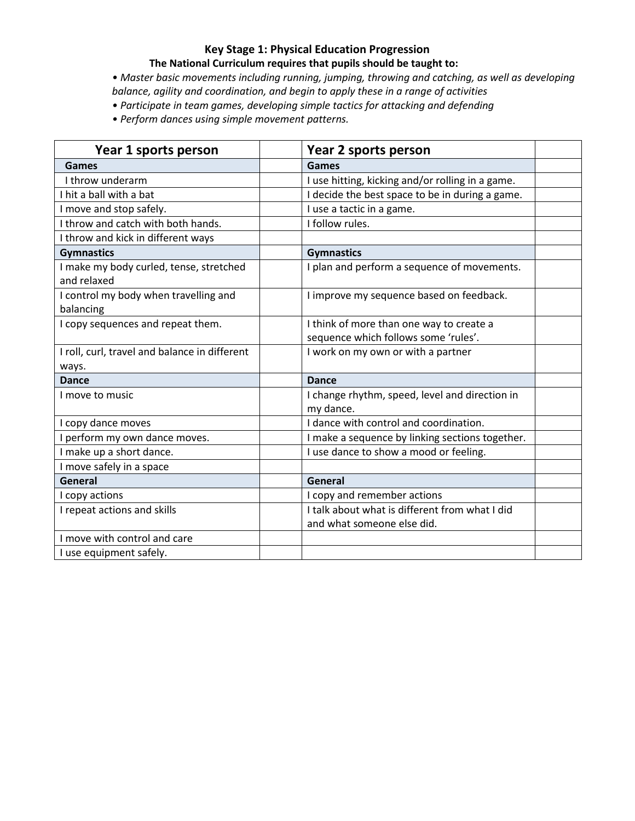# **Key Stage 1: Physical Education Progression**

### **The National Curriculum requires that pupils should be taught to:**

*• Master basic movements including running, jumping, throwing and catching, as well as developing balance, agility and coordination, and begin to apply these in a range of activities* 

*• Participate in team games, developing simple tactics for attacking and defending* 

*• Perform dances using simple movement patterns.*

| Year 1 sports person                                   | Year 2 sports person                                        |  |
|--------------------------------------------------------|-------------------------------------------------------------|--|
| Games                                                  | <b>Games</b>                                                |  |
| I throw underarm                                       | I use hitting, kicking and/or rolling in a game.            |  |
| I hit a ball with a bat                                | I decide the best space to be in during a game.             |  |
| I move and stop safely.                                | I use a tactic in a game.                                   |  |
| I throw and catch with both hands.                     | I follow rules.                                             |  |
| I throw and kick in different ways                     |                                                             |  |
| <b>Gymnastics</b>                                      | <b>Gymnastics</b>                                           |  |
| I make my body curled, tense, stretched<br>and relaxed | I plan and perform a sequence of movements.                 |  |
| I control my body when travelling and<br>balancing     | I improve my sequence based on feedback.                    |  |
| I copy sequences and repeat them.                      | I think of more than one way to create a                    |  |
|                                                        | sequence which follows some 'rules'.                        |  |
| I roll, curl, travel and balance in different          | I work on my own or with a partner                          |  |
| ways.                                                  |                                                             |  |
| <b>Dance</b>                                           | <b>Dance</b>                                                |  |
| I move to music                                        | I change rhythm, speed, level and direction in<br>my dance. |  |
| I copy dance moves                                     | I dance with control and coordination.                      |  |
| I perform my own dance moves.                          | I make a sequence by linking sections together.             |  |
| I make up a short dance.                               | I use dance to show a mood or feeling.                      |  |
| I move safely in a space                               |                                                             |  |
| General                                                | General                                                     |  |
| I copy actions                                         | I copy and remember actions                                 |  |
| I repeat actions and skills                            | I talk about what is different from what I did              |  |
|                                                        | and what someone else did.                                  |  |
| I move with control and care                           |                                                             |  |
| I use equipment safely.                                |                                                             |  |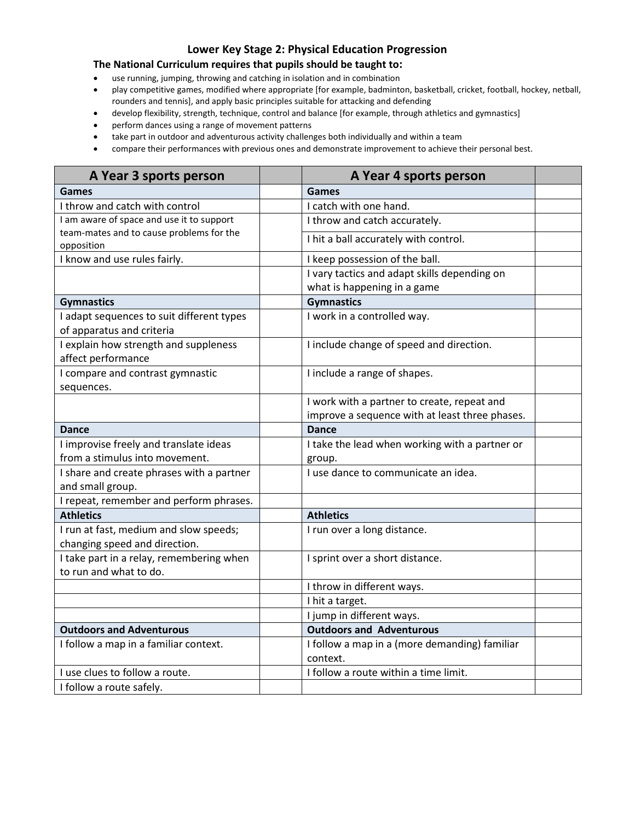## **Lower Key Stage 2: Physical Education Progression**

#### **The National Curriculum requires that pupils should be taught to:**

- use running, jumping, throwing and catching in isolation and in combination
- play competitive games, modified where appropriate [for example, badminton, basketball, cricket, football, hockey, netball, rounders and tennis], and apply basic principles suitable for attacking and defending
- develop flexibility, strength, technique, control and balance [for example, through athletics and gymnastics]
- perform dances using a range of movement patterns
- take part in outdoor and adventurous activity challenges both individually and within a team
- compare their performances with previous ones and demonstrate improvement to achieve their personal best.

| A Year 3 sports person                    | A Year 4 sports person                         |  |
|-------------------------------------------|------------------------------------------------|--|
| Games                                     | Games                                          |  |
| I throw and catch with control            | I catch with one hand.                         |  |
| I am aware of space and use it to support | I throw and catch accurately.                  |  |
| team-mates and to cause problems for the  | I hit a ball accurately with control.          |  |
| opposition                                |                                                |  |
| I know and use rules fairly.              | I keep possession of the ball.                 |  |
|                                           | I vary tactics and adapt skills depending on   |  |
|                                           | what is happening in a game                    |  |
| <b>Gymnastics</b>                         | <b>Gymnastics</b>                              |  |
| I adapt sequences to suit different types | I work in a controlled way.                    |  |
| of apparatus and criteria                 |                                                |  |
| I explain how strength and suppleness     | I include change of speed and direction.       |  |
| affect performance                        |                                                |  |
| I compare and contrast gymnastic          | I include a range of shapes.                   |  |
| sequences.                                |                                                |  |
|                                           | I work with a partner to create, repeat and    |  |
|                                           | improve a sequence with at least three phases. |  |
| <b>Dance</b>                              | <b>Dance</b>                                   |  |
| I improvise freely and translate ideas    | I take the lead when working with a partner or |  |
| from a stimulus into movement.            | group.                                         |  |
| I share and create phrases with a partner | I use dance to communicate an idea.            |  |
| and small group.                          |                                                |  |
| I repeat, remember and perform phrases.   |                                                |  |
| <b>Athletics</b>                          | <b>Athletics</b>                               |  |
| I run at fast, medium and slow speeds;    | I run over a long distance.                    |  |
| changing speed and direction.             |                                                |  |
| I take part in a relay, remembering when  | I sprint over a short distance.                |  |
| to run and what to do.                    |                                                |  |
|                                           | I throw in different ways.                     |  |
|                                           | I hit a target.                                |  |
|                                           | I jump in different ways.                      |  |
| <b>Outdoors and Adventurous</b>           | <b>Outdoors and Adventurous</b>                |  |
| I follow a map in a familiar context.     | I follow a map in a (more demanding) familiar  |  |
|                                           | context.                                       |  |
| I use clues to follow a route.            | I follow a route within a time limit.          |  |
| I follow a route safely.                  |                                                |  |